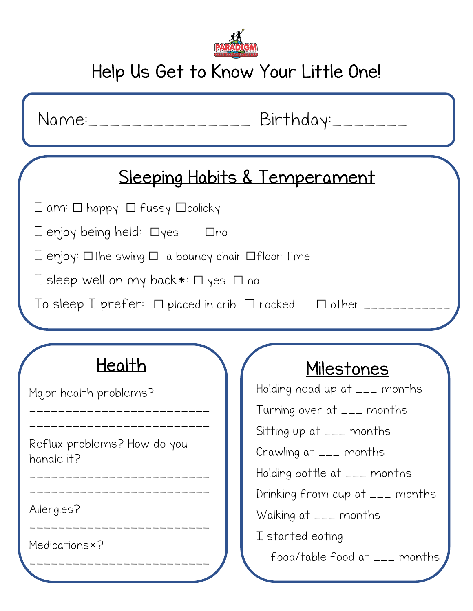

## Help Us Get to Know Your Little One!

| Birthday<br>Name:_________________                                               |
|----------------------------------------------------------------------------------|
| Sleeping Habits & Temperament                                                    |
| $\Box$ am: $\Box$ happy $\Box$ fussy $\Box$ colicky                              |
| $\overline{L}$ enjoy being held: $\Box$ yes $\Box$ no                            |
| $\Gamma$ enjoy: $\Box$ the swing $\Box$ a bouncy chair $\Box$ floor time         |
| I sleep well on my back $\ast: \Box$ yes $\Box$ no                               |
| $\top$ o sleep I prefer: $\Box$ placed in crib $\Box$ rocked $\Box$ other $\Box$ |

## Health

\_\_\_\_\_\_\_\_\_\_\_\_\_\_\_\_\_\_\_\_\_\_\_\_\_

 $\overline{\phantom{a}}$ 

\_\_\_\_\_\_\_\_\_\_\_\_\_\_\_\_\_\_\_\_\_\_\_\_\_

\_\_\_\_\_\_\_\_\_\_\_\_\_\_\_\_\_\_\_\_\_\_\_\_\_

\_\_\_\_\_\_\_\_\_\_\_\_\_\_\_\_\_\_\_\_\_\_\_\_\_

\_\_\_\_\_\_\_\_\_\_\_\_\_\_\_\_\_\_\_\_\_\_\_\_\_

Major health problems?

Reflux problems? How do you handle it?

Allergies?

Medications\*? \_\_\_\_\_\_\_\_\_\_\_\_\_\_\_\_\_\_\_\_\_\_\_\_\_

#### Milestones

Holding head up at \_\_\_ months Turning over at \_\_\_ months Sitting up at \_\_\_ months Crawling at \_\_\_ months Holding bottle at \_\_\_ months Drinking from cup at \_\_\_ months Walking at \_\_\_ months I started eating food/table food at \_\_\_ months